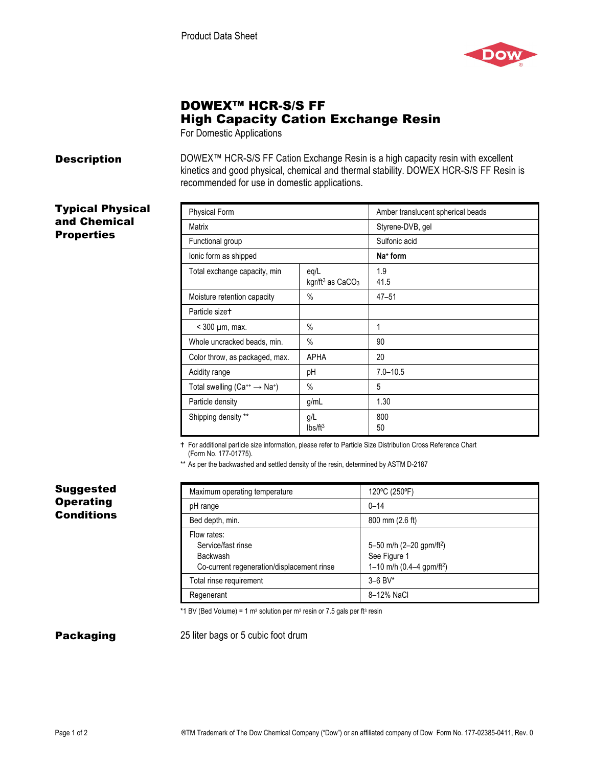

# DOWEX™ HCR-S/S FF High Capacity Cation Exchange Resin

For Domestic Applications

**Description** DOWEX™ HCR-S/S FF Cation Exchange Resin is a high capacity resin with excellent kinetics and good physical, chemical and thermal stability. DOWEX HCR-S/S FF Resin is recommended for use in domestic applications.

# Typical Physical and Chemical **Properties**

| <b>Physical Form</b>                            |                                                  | Amber translucent spherical beads |
|-------------------------------------------------|--------------------------------------------------|-----------------------------------|
| Matrix                                          |                                                  | Styrene-DVB, gel                  |
| Functional group                                |                                                  | Sulfonic acid                     |
| lonic form as shipped                           |                                                  | Na <sup>+</sup> form              |
| Total exchange capacity, min                    | eq/L<br>kgr/ft <sup>3</sup> as CaCO <sub>3</sub> | 1.9<br>41.5                       |
| Moisture retention capacity                     | $\%$                                             | $47 - 51$                         |
| Particle sizet                                  |                                                  |                                   |
| $<$ 300 $\mu$ m, max.                           | $\%$                                             | 1                                 |
| Whole uncracked beads, min.                     | $\%$                                             | 90                                |
| Color throw, as packaged, max.                  | <b>APHA</b>                                      | 20                                |
| Acidity range                                   | рH                                               | $7.0 - 10.5$                      |
| Total swelling ( $Ca^{++} \rightarrow Na^{+}$ ) | $\%$                                             | 5                                 |
| Particle density                                | g/mL                                             | 1.30                              |
| Shipping density **                             | g/L<br>Ibs/ft <sup>3</sup>                       | 800<br>50                         |

For additional particle size information, please refer to Particle Size Distribution Cross Reference Chart

(Form No. 177-01775).

\*\* As per the backwashed and settled density of the resin, determined by ASTM D-2187

# Suggested **Operating Conditions**

| Maximum operating temperature                                                                      | 120°C (250°F)                                                                                   |
|----------------------------------------------------------------------------------------------------|-------------------------------------------------------------------------------------------------|
| pH range                                                                                           | $0 - 14$                                                                                        |
| Bed depth, min.                                                                                    | 800 mm (2.6 ft)                                                                                 |
| Flow rates:<br>Service/fast rinse<br><b>Backwash</b><br>Co-current regeneration/displacement rinse | 5-50 m/h (2-20 gpm/ft <sup>2</sup> )<br>See Figure 1<br>1-10 m/h $(0.4-4$ gpm/ft <sup>2</sup> ) |
| Total rinse requirement                                                                            | $3 - 6$ BV*                                                                                     |
| Regenerant                                                                                         | 8-12% NaCl                                                                                      |

\*1 BV (Bed Volume) = 1 m<sup>3</sup> solution per m<sup>3</sup> resin or 7.5 gals per ft<sup>3</sup> resin

**Packaging** 25 liter bags or 5 cubic foot drum